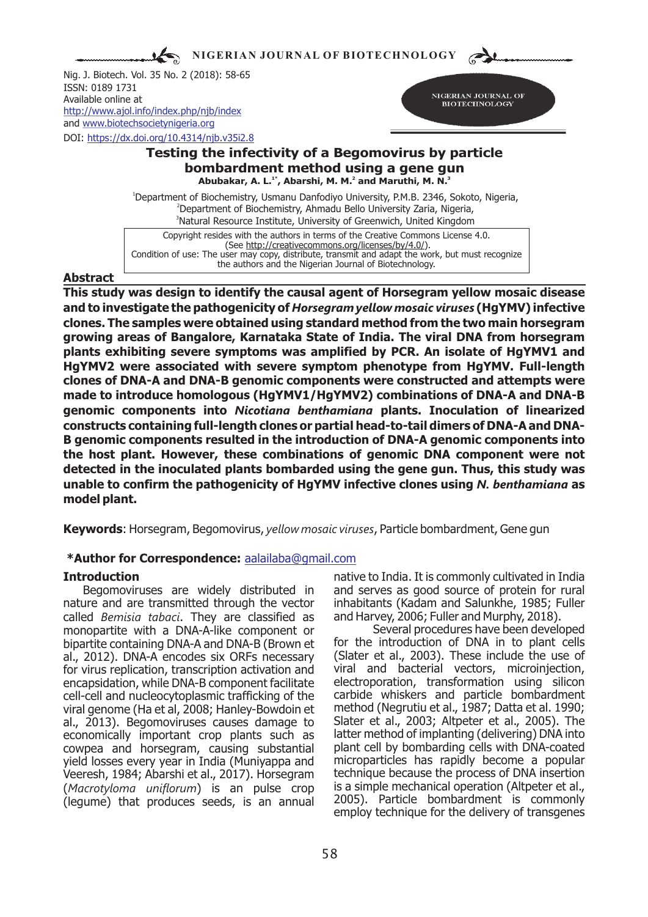**NIGERIAN JOURNAL OF BIOTECHNOLOGY**

Nig. J. Biotech. Vol. 35 No. 2 (2018): 58-65 ISSN: 0189 1731 Available online at and www.biotechsocietynigeria.org http://www.ajol.info/index.php/njb/index

NIGERIAN JOURNAL OF **BIOTECHNOLOGY** 

DOI: https://dx.doi.org/10.4314/njb.v35i2.8

## **Testing the infectivity of a Begomovirus by particle bombardment method using a gene gun 1\* 2 3 Abubakar, A. L. , Abarshi, M. M. and Maruthi, M. N.**

<sup>1</sup>Department of Biochemistry, Usmanu Danfodiyo University, P.M.B. 2346, Sokoto, Nigeria, <sup>2</sup>Department of Biochemistry, Ahmadu Bello University Zaria, Nigeria, <sup>3</sup>Natural Resource Institute, University of Greenwich, United Kingdom

Copyright resides with the authors in terms of the Creative Commons License 4.0. (See http://creativecommons.org/licenses/by/4.0/). Condition of use: The user may copy, distribute, transmit and adapt the work, but must recognize the authors and the Nigerian Journal of Biotechnology.

### **Abstract**

**This study was design to identify the causal agent of Horsegram yellow mosaic disease and to investigate the pathogenicity of** *Horsegram yellow mosaic viruses* **(HgYMV) infective clones. The samples were obtained using standard method from the two main horsegram growing areas of Bangalore, Karnataka State of India. The viral DNA from horsegram plants exhibiting severe symptoms was amplified by PCR. An isolate of HgYMV1 and HgYMV2 were associated with severe symptom phenotype from HgYMV. Full-length clones of DNA-A and DNA-B genomic components were constructed and attempts were made to introduce homologous (HgYMV1/HgYMV2) combinations of DNA-A and DNA-B genomic components into** *Nicotiana benthamiana* **plants. Inoculation of linearized constructs containing full-length clones or partial head-to-tail dimers of DNA-A and DNA-B genomic components resulted in the introduction of DNA-A genomic components into the host plant. However, these combinations of genomic DNA component were not detected in the inoculated plants bombarded using the gene gun. Thus, this study was unable to confirm the pathogenicity of HgYMV infective clones using** *N. benthamiana* **as model plant.** 

**Keywords**: Horsegram, Begomovirus, *yellow mosaic viruses*, Particle bombardment, Gene gun

## **\*Author for Correspondence:** aalailaba@gmail.com

Begomoviruses are widely distributed in and serves as good source of protein for rural nature and are transmitted through the vector inhabitants (Kadam and Salunkhe, 1985; Fuller called *Bemisia tabaci*. They are classified as and Harvey, 2006; Fuller and Murphy, 2018). monopartite with a DNA-A-like component or bipartite containing DNA-A and DNA-B (Brown et for the introduction of DNA in to plant cells al., 2012). DNA-A encodes six ORFs necessary (Slater et al., 2003). These include the use of for virus replication, transcription activation and viral and bacterial vectors, microinjection, for virus replication, transcription activation and viral and bacterial vectors, microinjection,<br>encapsidation, while DNA-B component facilitate electroporation, transformation using silicon encapsidation, while DNA-B component facilitate cell-cell and nucleocytoplasmic trafficking of the carbide whiskers and particle bombardment<br>viral genome (Ha et al. 2008; Hanley-Bowdoin et method (Negrutiu et al., 1987; Datta et al. 1990; viral genome (Ha et al, 2008; Hanley-Bowdoin et method (Negrutiu et al., 1987; Datta et al. 1990; al., 2013). Begomoviruses causes damage to Slater et al., 2003; Altpeter et al., 2005). The economically important crop plants such as latter method of implanting (delivering) DNA into<br>cowpea and horsegram, causing substantial plant cell by bombarding cells with DNA-coated cowpea and horsegram, causing substantial plant cell by bombarding cells with DNA-coated yield losses every year in India (Muniyappa and microparticles has rapidly become a popular<br>Veeresh, 1984; Abarshi et al., 2017). Horsegram technique because the process of DNA insertion Veeresh, 1984; Abarshi et al., 2017). Horsegram technique because the process of DNA insertion<br>(Macrotyloma, uniflorum), is an inulse cropic is a simple mechanical operation (Altpeter et al., (*Macrotyloma uniflorum*) is an pulse crop is a simple mechanical operation (Altpeter et al., is an annual altima<br>(lequime) that produces seeds is an annual altimatic commodities to commonly (legume) that produces seeds, is an annual

**Introduction**<br>Begomoviruses are widely distributed in and serves as good source of protein for rural inhabitants (Kadam and Salunkhe, 1985; Fuller

employ technique for the delivery of transgenes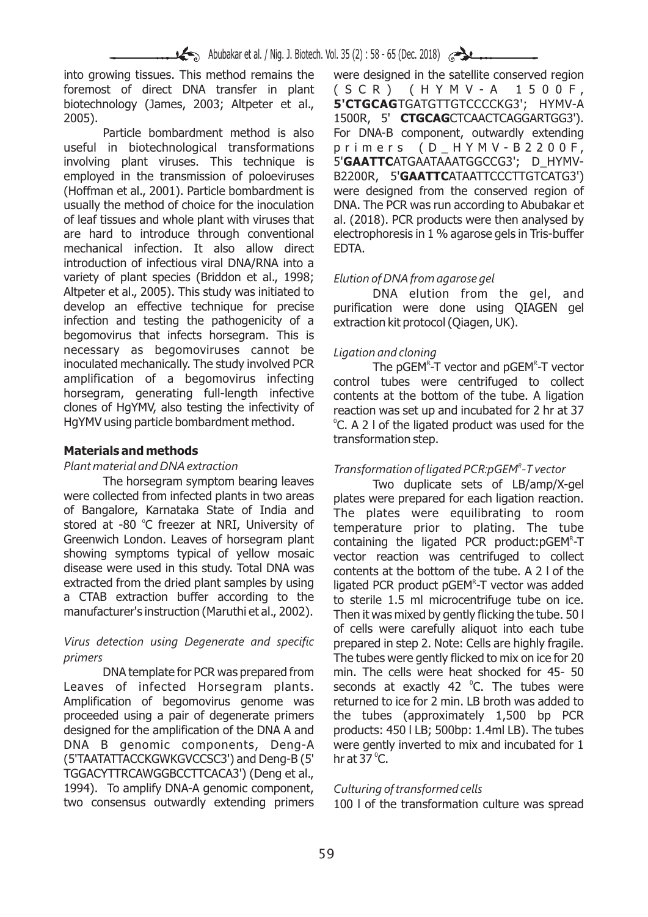into growing tissues. This method remains the were designed in the satellite conserved region foremost of direct DNA transfer in plant  $( S C R )$   $( H Y M V - A 1 5 0 0 F$ , biotechnology (James, 2003; Altpeter et al., **5'CTGCAG**TGATGTTGTCCCCKG3'; HYMV-A biotechnology (James, 2003; Altpeter et al., 2005). 1500R, 5' **CTGCAG**CTCAACTCAGGARTGG3').

useful in biotechnological transformations  $p \, \mathsf{r}$  im e  $r \, \mathsf{s}$ involving plant viruses. This technique is 5'**GAATTC**ATGAATAAATGGCCG3'; D\_HYMVemployed in the transmission of poloeviruses B2200R, 5'**GAATTC**ATAATTCCCTTGTCATG3') (Hoffman et al., 2001). Particle bombardment is were designed from the conserved region of usually the method of choice for the inoculation DNA. The PCR was run according to Abubakar et of leaf tissues and whole plant with viruses that al. (2018). PCR products were then analysed by are hard to introduce through conventional electrophoresis in 1 % agarose gels in Tris-buffer mechanical infection. It also allow direct EDTA. introduction of infectious viral DNA/RNA into a variety of plant species (Briddon et al., 1998; *Elution of DNA from agarose gel* Altpeter et al., 2005). This study was initiated to DNA elution from the gel, and develop an effective technique for precise purification were done using OIAGEN gel infection and testing the pathogenicity of a extraction kit protocol (Qiagen, UK). begomovirus that infects horsegram. This is necessary as begomoviruses cannot be *Ligation and cloning* inoculated mechanically. The study involved PCR The pGEM<sup>R</sup>-T vector and pGEM<sup>R</sup>-T vector amplification of a begomovirus infecting control tubes were centrifuged to collect<br>horsegram, generating full-length infective contents at the bottom of the tube A ligation horsegram, generating full-length infective contents at the bottom of the tube. A ligation clones of HgYMV, also testing the infectivity of reaction was set up and incubated for 2 hr at 37 HgYMV using particle bombardment method. <sup>0</sup>

## **Materials and methods**

The horsegram symptom bearing leaves<br>were collected from infected plants in two areas<br>nlates were prepared for each ligation reaction were collected from infected plants in two areas plates were prepared for each ligation reaction.<br>Standalore, Karnataka State of India and The plates were equilibrating to room of Bangalore, Karnataka State of India and The plates were equilibrating to room<br>stored at -80 °C freezer at NRI, University of Fremperature, prior, to plating. The tube stored at -80 °C freezer at NRI, University of temperature prior to plating. The tube<br>Greenwich London. Leaves of horsegram plant containing the ligated PCR product: pGEM<sup>R</sup>-T Greenwich London. Leaves of horsegram plant containing the ligated PCR product:pGEM<sup>R</sup>-T<br>Showing symptoms typical of yellow mosaic vector reaction was centrifuged to collect showing symptoms typical of yellow mosaic vector reaction was centrifuged to collect disease were used in this study. Total DNA was contents at the bottom of the 12 Lof the extracted from the dried plant samples by using extracted from the dried plant samples by using ligated PCR product pGEM<sup>®</sup>-T vector was added<br>a CTAB extraction buffer according to the the sterile 1.5 ml microcentrifuge tube on ice. manufacturer's instruction (Maruthi et al., 2002). Then it was mixed by gently flicking the tube. 50 l

## *Virus detection using Degenerate and specific* prepared in step 2. Note: Cells are highly fragile. *primers* **The tubes were gently flicked to mix on ice for 20**

Leaves of infected Horsegram plants. seconds at exactly 42 <sup>o</sup>C. The tubes were Amplification of begomovirus genome was returned to ice for 2 min. LB broth was added to proceeded using a pair of degenerate primers the tubes (approximately 1,500 bp PCR designed for the amplification of the DNA A and products: 450 l LB; 500bp: 1.4ml LB). The tubes DNA B genomic components, Deng-A were gently inverted to mix and incubated for 1 (5'TAATATTACCKGWKGVCCSC3') and Deng-B (5' TGGACYTTRCAWGGBCCTTCACA3') (Deng et al., 1994). To amplify DNA-A genomic component, *Culturing of transformed cells* two consensus outwardly extending primers 100 l of the transformation culture was spread

Particle bombardment method is also For DNA-B component, outwardly extending in biotechnological transformations  $p \text{ r}$  im e r s (D \_ H Y M V - B 2 2 0 0 F,

purification were done using OIAGEN gel

reaction was set up and incubated for 2 hr at 37  $\degree$ C. A 2 I of the ligated product was used for the transformation step.

## *Plant material and DNA extraction*<br>*Transformation of ligated PCR:pGEM<sup>®</sup>-T vector*<br>*Two* duplicate sets of LB/amp/X-

contents at the bottom of the tube. A 2 l of the to sterile 1.5 ml microcentrifuge tube on ice. of cells were carefully aliquot into each tube DNA template for PCR was prepared from min. The cells were heat shocked for 45- 50 hr at  $37^{\circ}$ C.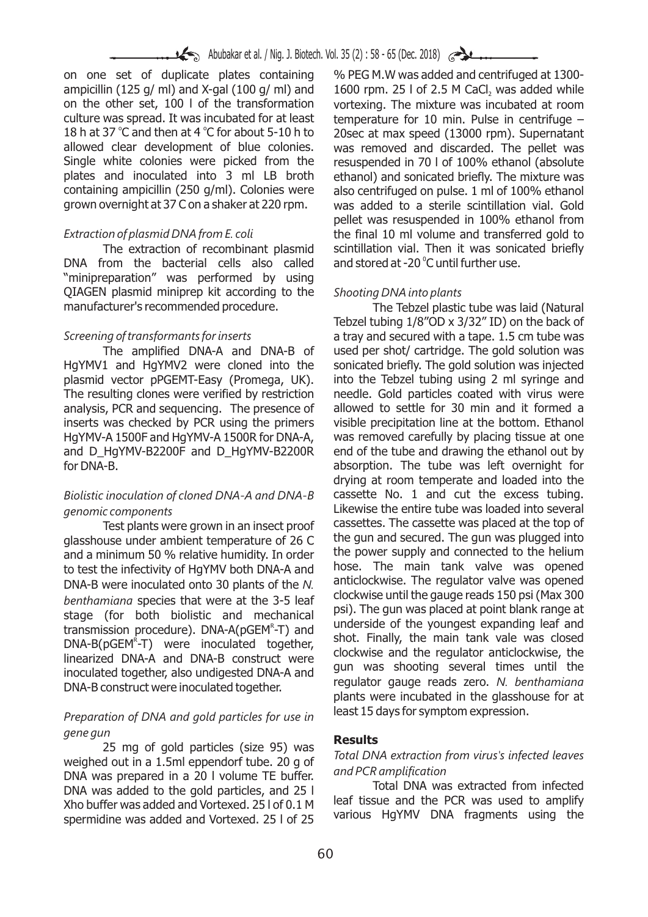on one set of duplicate plates containing % PEG M.W was added and centrifuged at 1300 ampicillin (125 g/ ml) and X-gal (100 g/ ml) and 1600 rpm. 25 l of 2.5 M CaCl<sub>2</sub> was added while on the other set, 100 l of the transformation vortexing. The mixture was incubated at room on the other set, 100 l of the transformation vortexing. The mixture was incubated at room culture was spread. It was incubated for at least temperature for 10 min. Pulse in centrifuge  $-$ 18 h at 37 °C and then at 4 °C for about 5-10 h to 18 h at 37 °C and then at 4 °C for about 5-10 h to 20sec at max speed (13000 rpm). Supernatant allowed clear development of blue colonies. was removed and discarded. The pellet was allowed clear development of blue colonies. was removed and discarded. The pellet was<br>Single white colonies were picked from the resuspended in 70 l of 100% ethanol (absolute Single white colonies were picked from the resuspended in 70 l of 100% ethanol (absolute plates and inoculated into 3 ml LB broth ethanol) and sonicated briefly. The mixture was containing ampicillin (250 g/ml). Colonies were also centrifuged on pulse. 1 ml of 100% ethanol grown overnight at 37 C on a shaker at 220 rpm. was added to a sterile scintillation vial. Gold

DNA from the bacterial cells also called "minipreparation" was performed by using QIAGEN plasmid miniprep kit according to the *Shooting DNA into plants*

HgYMV1 and HgYMV2 were cloned into the sonicated briefly. The gold solution was injected plasmid vector pPGEMT-Easy (Promega, UK). into the Tebzel tubing using 2 ml syringe and The resulting clones were verified by restriction needle. Gold particles coated with virus were analysis, PCR and sequencing. The presence of allowed to settle for 30 min and it formed a inserts was checked by PCR using the primers visible precipitation line at the bottom. Ethanol HgYMV-A 1500F and HgYMV-A 1500R for DNA-A, was removed carefully by placing tissue at one and D\_HgYMV-B2200F and D\_HgYMV-B2200R end of the tube and drawing the ethanol out by for DNA-B. absorption. The tube was left overnight for

glasshouse under ambient temperature of  $26$  C  $\phantom{0}$  the gun and secured. The gun was plugged into and a minimum 50 % relative bumidity. In order  $\phantom{0}$  the power supply and connected to the helium and a minimum 50 % relative humidity. In order the power supply and connected to the helium to test the infectivity of HaYMV both DNA-A and these. The main tank valve was opened to test the infectivity of HgYMV both DNA-A and hose. The main tank valve was opened<br>DNA-B were inoculated onto 30 plants of the M anticlockwise. The regulator valve was opened DNA-B were inoculated onto 30 plants of the *N.* anticlockwise. The regulator valve was opened bonthamians enocies that were at the 3.5 leafy clockwise until the gauge reads 150 psi (Max 300 benthamiana species that were at the 3-5 leaf<br>stage (for both biolistic and mechanical psi). The gun was placed at point blank range at<br>transmission presedure). DNA A(pCEM<sup>R</sup> T) and underside of the youngest expanding leaf transmission procedure). DNA-A( $pGEM<sup>R</sup>-T$ ) and the youngest expanding leaf and transmission procedure). DNA-A( $pGEM<sup>R</sup>-T$ ) and shot. Finally, the main tank vale was closed DNA-B(pGEM<sup>R</sup>-T) were inoculated together, shot. Finally, the main tank vale was closed linearized DNA-A and DNA-B construct were disclockwise and the regulator anticlockwise, the linearized DNA-A and DNA-B construct were inoculated together, also undigested DNA-A and in the induction of the inclusion of the inclusion of the inclusion of the inclusion of the inclusion of the inclusion of the inclusion of the inclusion of the inclusion of th DNA-B construct were inoculated together.

# least 15 days for symptom expression. *Preparation of DNA and gold particles for use in*

*gene gun*<br>
25 mg of gold particles (size 95) was<br> *Total DNA extraction from virus's infected leaves*<br> **RNA was propared in a 20 Lyolume TE buffor** and PCR amplification DNA was prepared in a 20 l volume TE buffer. *and PCR amplification*<br>DNA was extracted from infected DNA was added to the gold particles, and 25 lacked in the DNA was extracted from infected<br>The buffer was added and Vertexed 25 Lef 0.1 M and the BCR was used to amplify Xho buffer was added and Vortexed. 25 l of 0.1 M various HgYMV DNA fragments using the spermidine was added and Vortexed. 25 l of 25 various HgYMV DNA fragments using the

temperature for 10 min. Pulse in centrifuge  $$ ethanol) and sonicated briefly. The mixture was pellet was resuspended in 100% ethanol from *Extraction of plasmid DNA from E. coli* the final 10 ml volume and transferred gold to The extraction of recombinant plasmid scintillation vial. Then it was sonicated briefly and stored at -20 $\degree$ C until further use.

The Tebzel plastic tube was laid (Natural Tebzel tubing 1/8"OD x 3/32" ID) on the back of *Screening of transformants for inserts* a tray and secured with a tape. 1.5 cm tube was The amplified DNA-A and DNA-B of used per shot/ cartridge. The gold solution was drying at room temperate and loaded into the *Biolistic inoculation of cloned DNA-A and DNA-B* cassette No. 1 and cut the excess tubing. *genomic components* and *components* **Likewise the entire tube was loaded into several** Test plants were grown in an insect proof cassettes. The cassette was placed at the top of  $\frac{1}{2}$ plants were incubated in the glasshouse for at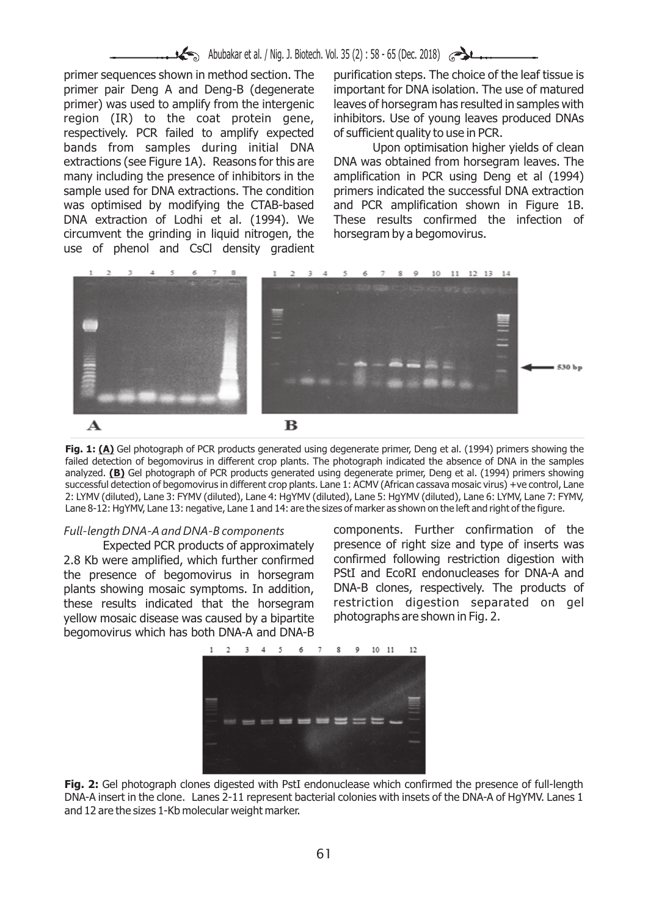## Abubakar et al. / Nig. J. Biotech. Vol. 35 (2) : 58 - 65 (Dec. 2018)

primer sequences shown in method section. The purification steps. The choice of the leaf tissue is primer pair Deng A and Deng-B (degenerate important for DNA isolation. The use of matured primer) was used to amplify from the intergenic leaves of horsegram has resulted in samples with region (IR) to the coat protein gene, inhibitors. Use of young leaves produced DNAs respectively. PCR failed to amplify expected of sufficient quality to use in PCR. bands from samples during initial DNA Upon optimisation higher yields of clean extractions (see Figure 1A). Reasons for this are DNA was obtained from horsegram leaves. The sample used for DNA extractions. The condition primers indicated the successful DNA extraction was optimised by modifying the CTAB-based and PCR amplification shown in Figure 1B. DNA extraction of Lodhi et al. (1994). We These results confirmed the infection of circumvent the grinding in liquid nitrogen, the horsegram by a begomovirus. use of phenol and CsCl density gradient

many including the presence of inhibitors in the amplification in PCR using Deng et al (1994)



**Fig. 1: (A)** Gel photograph of PCR products generated using degenerate primer, Deng et al. (1994) primers showing the failed detection of begomovirus in different crop plants. The photograph indicated the absence of DNA in the samples analyzed. **(B)** Gel photograph of PCR products generated using degenerate primer, Deng et al. (1994) primers showing successful detection of begomovirus in different crop plants. Lane 1: ACMV (African cassava mosaic virus) +ve control, Lane 2: LYMV (diluted), Lane 3: FYMV (diluted), Lane 4: HgYMV (diluted), Lane 5: HgYMV (diluted), Lane 6: LYMV, Lane 7: FYMV, Lane 8-12: HgYMV, Lane 13: negative, Lane 1 and 14: are the sizes of marker as shown on the left and right of the figure.

the presence of begomovirus in horsegram PStI and EcoRI endonucleases for DNA-A and plants showing mosaic symptoms. In addition. DNA-B clones, respectively. The products of plants showing mosaic symptoms. In addition, DNA-B clones, respectively. The products of these results indicated that the horsegram restriction digestion separated on gel these results indicated that the horsegram restriction digestion separated vellow mosaic disease was caused by a binartite photographs are shown in Fig. 2. yellow mosaic disease was caused by a bipartite begomovirus which has both DNA-A and DNA-B

*Full-length DNA-A and DNA-B components* components. Further confirmation of the Expected PCR products of approximately presence of right size and type of inserts was 2.8 Kb were amplified, which further confirmed confirmed following restriction digestion with the presence of begomovirus in horsegram PStI and EcoRI endonucleases for DNA-A and



**Fig. 2:** Gel photograph clones digested with PstI endonuclease which confirmed the presence of full-length DNA-A insert in the clone. Lanes 2-11 represent bacterial colonies with insets of the DNA-A of HgYMV. Lanes 1 and 12 are the sizes 1-Kb molecular weight marker.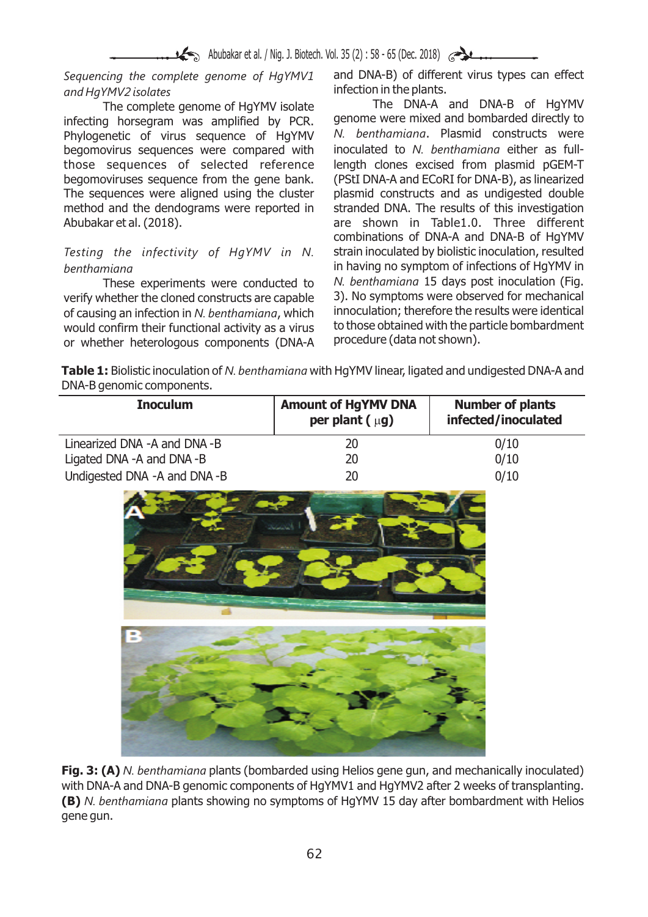Abubakar et al. / Nig. J. Biotech. Vol. 35 (2) : 58 - 65 (Dec. 2018)

*Sequencing the complete genome of HgYMV1* and DNA-B) of different virus types can effect and HaYMV2 isolates *and HgYMV2 isolates*<br>The complete genome of HaYMV isolate **infection in the DNA-A** and DNA-B of HgYMV

infecting horsegram was amplified by PCR. genome were mixed and bombarded directly to<br>Phylogenetic of virus sequence of HoYMV N. benthamiana. Plasmid constructs were Phylogenetic of virus sequence of HgYMV begomovirus sequences were compared with inoculated to *N. benthamiana* either as fullthose sequences of selected reference length clones excised from plasmid pGEM-T begomoviruses sequence from the gene bank. (PStI DNA-A and ECoRI for DNA-B), as linearized The sequences were aligned using the cluster plasmid constructs and as undigested double method and the dendograms were reported in stranded DNA. The results of this investigation Abubakar et al. (2018). Abubakar et al. (2018). Abubakar et al. (2018).

## *Testing the infectivity of HgYMV in N.* strain inoculated by biolistic inoculation, resulted *benthamiana* in having no symptom of infections of HgYMV in

verify whether the cloned constructs are capable  $\qquad$  3). No symptoms were observed for mechanical of causing an infection in N *benthamiang* which innoculation; therefore the results were identical of causing an infection in *N. benthamiana*, which infection; therefore the results were identical would confirm their functional activity as a virus to those obtained with the particle bombardment would confirm their functional activity as a virus to those obtained with the pa<br>or whether heterologous components (DNA-A procedure (data not shown). or whether heterologous components (DNA-A

The complete genome of HgYMV isolate The DNA-A and DNA-B of HgYMV<br>The DNA-A and DNA-B of HgYMV isolate The The DNA-A and bombarded directly to combinations of DNA-A and DNA-B of HgYMV These experiments were conducted to *N. benthamiana* 15 days post inoculation (Fig.<br>whether the cloned constructs are canable 3). No symptoms were observed for mechanical

**Table 1:** Biolistic inoculation of *N. benthamiana* with HgYMV linear, ligated and undigested DNA-A and DNA-B genomic components.

| <b>Inoculum</b>                | <b>Amount of HgYMV DNA</b><br>per plant ( $\mu$ g) | <b>Number of plants</b><br>infected/inoculated |
|--------------------------------|----------------------------------------------------|------------------------------------------------|
| Linearized DNA - A and DNA - B | 20                                                 | 0/10                                           |
| Ligated DNA - A and DNA - B    | 20                                                 | 0/10                                           |
| Undigested DNA -A and DNA -B   | 20                                                 | 0/10                                           |



**Fig. 3: (A)** *N. benthamiana* plants (bombarded using Helios gene gun, and mechanically inoculated) with DNA-A and DNA-B genomic components of HgYMV1 and HgYMV2 after 2 weeks of transplanting. **(B)** *N. benthamiana* plants showing no symptoms of HgYMV 15 day after bombardment with Helios gene gun.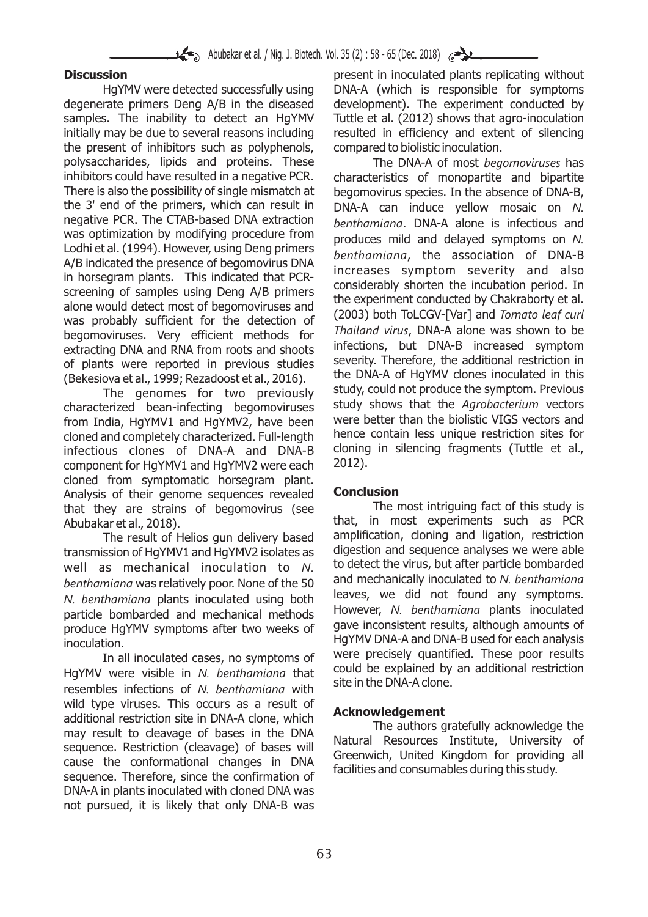degenerate primers Deng A/B in the diseased development). The experiment conducted by samples. The inability to detect an HgYMV Tuttle et al. (2012) shows that agro-inoculation initially may be due to several reasons including resulted in efficiency and extent of silencing the present of inhibitors such as polyphenols, compared to biolistic inoculation. polysaccharides, lipids and proteins. These The DNA-A of most *begomoviruses* has inhibitors could have resulted in a negative PCR. characteristics of monopartite and binartite inhibitors could have resulted in a negative PCR. characteristics of monopartite and bipartite<br>There is also the possibility of single mismatch at begomovirus species. In the absence of DNA-B. the 3' end of the primers, which can result in DNA-A can induce yellow mosaic on *N.*  negative PCR. The CTAB-based DNA extraction *benthamiana*. DNA-A alone is infectious and was optimization by modifying procedure from was optimization by modifying procedure from produces mild and delayed symptoms on *N.*<br>
Lodhi et al. (1994). However, using Deng primers *benthamiana*, the association of DNA-B<br>
A/B indicated the presence of begomovirus D in horsegram plants. This indicated that PCRscreening of samples using Deng A/B primers<br>alone would detect most of begomoviruses and<br>was probably sufficient for the detection of<br>begomoviruses. Very efficient methods for Thailand virus. DNA-A alone was shown to be **Thailand virus, DNA-A alone was shown to be begomoviruses.** Very efficient methods for *Induland virus*, DNA-A alone was shown to be extracting DNA and DNA from roots and shoots infections. but DNA-B increased symptom extracting DNA and RNA from roots and shoots infections, but DNA-B increased symptom<br>of plants were reported in provious studies severity. Therefore, the additional restriction in of plants were reported in previous studies severity. Therefore, the additional restriction in of plants were reported in previous studies the DNA-A of HgYMV clones inoculated in this (Bekesiova et al., 1999; Rezadoost et al., 2016).

characterized bean-infecting begomoviruses study shows that the *Agrobacterium* vectors<br>from India HgYMV1 and HgYMV2 have been were better than the biolistic VIGS vectors and from India, HgYMV1 and HgYMV2, have been were better than the biolistic VIGS vectors and<br>cloned and completely characterized. Full-length bence contain less unique restriction sites for cloned and completely characterized. Full-length hence contain less unique restriction sites for infectious clones of DNA-A and DNA-B cloning<br>component for HaYMV1 and HaYMV2 were each 2012). component for HgYMV1 and HgYMV2 were each cloned from symptomatic horsegram plant. Analysis of their genome sequences revealed<br>that they are strains of begomovirus (see The most intriguing fact of this study is that they are strains of begomovirus (see Abubakar et al., 2018). That, in most experiments such as PCR

transmission of HgYMV1 and HgYMV2 isolates as digestion and sequence analyses we were able<br>well as mechanical inoculation to  $N$  to detect the virus, but after particle bombarded well as mechanical inoculation to  $N$ . to detect the virus, but after particle bombarded bombarded was relatively poor None of the  $50$  and mechanically inoculated to *N. benthamiana* benthamiana was relatively poor. None of the 50 and mechanically inoculated to *N. benthamiana*<br>*N. benthamiana* plants inoculated using both leaves, we did not found any symptoms. N. benthamiana plants inoculated using both i<sup>ncaves</sup>, we did not found any symptoms.<br>Anyticle bembarded and mechanical methods in However, N. benthamiana plants inoculated particle bombarded and mechanical methods **However,** *N. benthamiana* plants inoculated<br>produce HoYMV symptoms after two weeks of gave inconsistent results, although amounts of produce HgYMV symptoms after two weeks of HgYMV DNA-A and DNA-B used for each analysis inoculation.

HgYMV were visible in *N. benthamiana* that could be explained by<br>site in the DNA-A clone. resembles infections of *N. benthamiana* with wild type viruses. This occurs as a result of<br>additional restriction site in DNA-A clone, which<br>may result to cleavage of bases in the DNA<br>may result to cleavage of bases in the DNA may result to cleavage of bases in the DNA<br>sequence. Restriction (cleavage) of bases will cause the conformational changes in DNA facilities and consumables during this study. sequence. Therefore, since the confirmation of DNA-A in plants inoculated with cloned DNA was not pursued, it is likely that only DNA-B was

**Discussion Discussion present in inoculated plants replicating without** HgYMV were detected successfully using DNA-A (which is responsible for symptoms

begomovirus species. In the absence of DNA-B, increases symptom severity and also The genomes for two previously<br>The genomes for two previously study, could not produce the symptom. Previous<br>Terized bean-infecting begomoviruses study shows that the Agrobacterium vectors

The result of Helios gun delivery based amplification, cloning and ligation, restriction restriction restriction restriction restriction and sequence analyses we were able In all inoculated cases, no symptoms of were precisely quantified. These poor results<br>In all inoculated cases, no symptoms of could be explained by an additional restriction

Greenwich, United Kingdom for providing all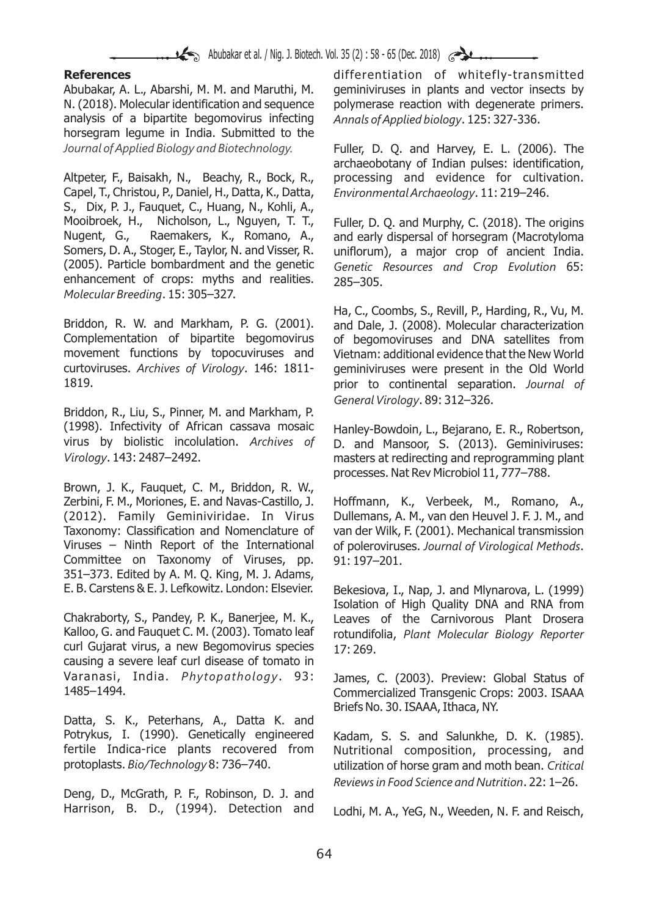N. (2018). Molecular identification and sequence polymerase reaction with degenerate primers. analysis of a bipartite begomovirus infecting *Annals of Applied biology*. 125: 327-336. horsegram legume in India. Submitted to the *Journal of Applied Biology and Biotechnology*

Altpeter, F., Baisakh, N., Beachy, R., Bock, R., processing and evidence for cultivation. Capel, T., Christou, P., Daniel, H., Datta, K., Datta, *Environmental Archaeology*. 11: 219–246. S., Dix, P. J., Fauquet, C., Huang, N., Kohli, A., Mooibroek, H., Nicholson, L., Nguyen, T. T., Fuller, D. Q. and Murphy, C. (2018). The origins<br>Nugent, G., Raemakers, K., Romano, A., and early dispersal of horsegram (Macrotyloma Nugent, G., Raemakers, K., Romano, A., and early dispersal of horsegram (Macrotyloma<br>Somers, D. A., Stoger, E., Taylor, N. and Visser, R. uniflorum). a major crop of ancient India. Somers, D. A., Stoger, E., Taylor, N. and Visser, R. uniflorum), a major crop of ancient India.<br>(2005). Particle bombardment and the genetic Genetic Resources and Crop Evolution 65: enhancement of crops: myths and realities. 285–305. *Molecular Breeding*. 15: 305–327.

Briddon, R. W. and Markham, P. G. (2001). and Dale, J. (2008). Molecular characterization Complementation of bipartite begomovirus of begomoviruses and DNA satellites from movement functions by topocuviruses and Vietnam: additional evidence that the New World curtoviruses. *Archives of Virology*. 146: 1811- geminiviruses were present in the Old World 1819. prior to continental separation. *Journal of* 

Briddon, R., Liu, S., Pinner, M. and Markham, P. (1998). Infectivity of African cassava mosaic Hanley-Bowdoin, L., Bejarano, E. R., Robertson, virus by biolistic incolulation. Archives of D. and Mansoor S. (2013). Geminiviruses: *Virology*. 143: 2487–2492. masters at redirecting and reprogramming plant

Brown, J. K., Fauquet, C. M., Briddon, R. W., Zerbini, F. M., Moriones, E. and Navas-Castillo, J. Hoffmann, K., Verbeek, M., Romano, A., (2012). Family Geminiviridae. In Virus Dullemans, A. M., van den Heuvel J. F. J. M., and Taxonomy: Classification and Nomenclature of van der Wilk, F. (2001). Mechanical transmission Viruses – Ninth Report of the International of poleroviruses. *Journal of Virological Methods*. Committee on Taxonomy of Viruses, pp. 91: 197–201. 351–373. Edited by A. M. Q. King, M. J. Adams, E. B. Carstens & E. J. Lefkowitz. London: Elsevier. Bekesiova, I., Nap, J. and Mlynarova, L. (1999)

Chakraborty, S., Pandey, P. K., Banerjee, M. K., Leaves of the Carnivorous Plant Drosera<br>Kalloo, G. and Fauguet C. M. (2003). Tomato leaf rotundifolia, Plant Molecular Biology Reporter curl Gujarat virus, a new Begomovirus species 17: 269. causing a severe leaf curl disease of tomato in Varanasi, India. *Phytopathology*. 93: James, C. (2003). Preview: Global Status of

Datta, S. K., Peterhans, A., Datta K. and Potrykus, I. (1990). Genetically engineered Kadam, S. S. and Salunkhe, D. K. (1985). fertile Indica-rice plants recovered from Nutritional composition, processing, and protoplasts. *Bio/Technology* 8: 736–740. utilization of horse gram and moth bean. *Critical* 

Deng, D., McGrath, P. F., Robinson, D. J. and Harrison, B. D., (1994). Detection and Lodhi, M. A., YeG, N., Weeden, N. F. and Reisch,

**References References differentiation** of whitefly-transmitted Abubakar, A. L., Abarshi, M. M. and Maruthi, M. geminiviruses in plants and vector insects by

> *.* Fuller, D. Q. and Harvey, E. L. (2006). The archaeobotany of Indian pulses: identification,

> (2005). Particle bombardment and the genetic *Genetic Resources and Crop Evolution* 65:

Ha, C., Coombs, S., Revill, P., Harding, R., Vu, M. *General Virology*. 89: 312–326.

D. and Mansoor, S. (2013). Geminiviruses: processes. Nat Rev Microbiol 11, 777–788.

Isolation of High Quality DNA and RNA from rotundifolia, Plant Molecular Biology Reporter

Commercialized Transgenic Crops: 2003. ISAAA Briefs No. 30. ISAAA, Ithaca, NY.

*Reviews in Food Science and Nutrition*. 22: 1–26.